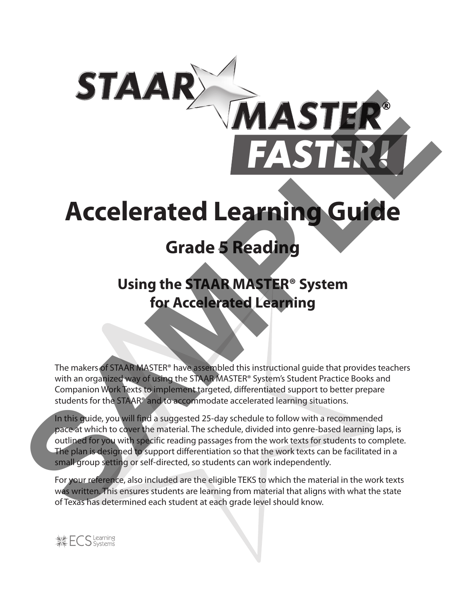# **Accelerated Learning Guide**

*MASTE* 

# **Grade 5 Reading**

# **Using the STAAR MASTER® System for Accelerated Learning**

The makers of STAAR MASTER® have assembled this instructional guide that provides teachers with an organized way of using the STAAR MASTER® System's Student Practice Books and Companion Work Texts to implement targeted, differentiated support to better prepare students for the STAAR® and to accommodate accelerated learning situations.

In this guide, you will find a suggested 25-day schedule to follow with a recommended pace at which to cover the material. The schedule, divided into genre-based learning laps, is outlined for you with specific reading passages from the work texts for students to complete. The plan is designed to support differentiation so that the work texts can be facilitated in a small group setting or self-directed, so students can work independently. **STER**<br>
FASTER<br>
FASTER<br>
FASTER<br>
STER MATER STER<br>
Grade 5 Reading<br>
Using the STAAR MASTER® System<br>
for Accelerated Learning<br>
The materials of the state of the state of the state of the state of the state of the state of the

For your reference, also included are the eligible TEKS to which the material in the work texts was written. This ensures students are learning from material that aligns with what the state of Texas has determined each student at each grade level should know.

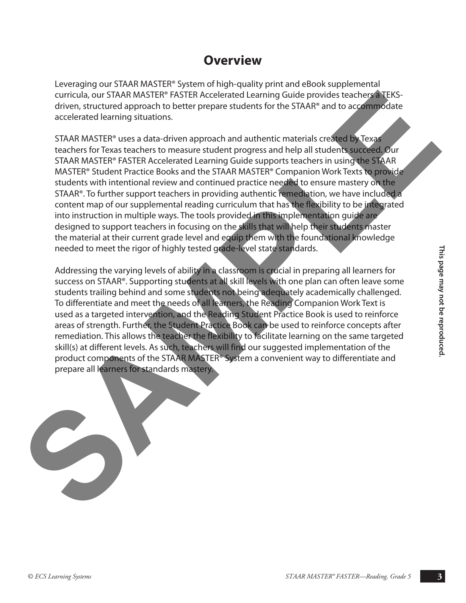### **Overview**

Leveraging our STAAR MASTER® System of high-quality print and eBook supplemental curricula, our STAAR MASTER® FASTER Accelerated Learning Guide provides teachers a TEKSdriven, structured approach to better prepare students for the STAAR® and to accommodate accelerated learning situations.

STAAR MASTER® uses a data-driven approach and authentic materials created by Texas teachers for Texas teachers to measure student progress and help all students succeed. Our STAAR MASTER® FASTER Accelerated Learning Guide supports teachers in using the STAAR MASTER® Student Practice Books and the STAAR MASTER® Companion Work Texts to provide students with intentional review and continued practice needed to ensure mastery on the STAAR®. To further support teachers in providing authentic remediation, we have included a content map of our supplemental reading curriculum that has the flexibility to be integrated into instruction in multiple ways. The tools provided in this implementation guide are designed to support teachers in focusing on the skills that will help their students master the material at their current grade level and equip them with the foundational knowledge needed to meet the rigor of highly tested grade-level state standards. curricula, our STARN MASTER PINSTER Accelerated Learning Guide provides itselected and provides in the second state and the second state and the second state and the second state and the second state and the second state a

meeded to meet the rigor of highly tested gade a livel state standards.<br>
Addressing the varying level as a lacking in a scapsion is such all in preparing all learners for<br>
success on STARP: Supporting students at all skill Addressing the varying levels of ability in a classroom is crucial in preparing all learners for success on STAAR®. Supporting students at all skill levels with one plan can often leave some students trailing behind and some students not being adequately academically challenged. To differentiate and meet the needs of all learners, the Reading Companion Work Text is used as a targeted intervention, and the Reading Student Practice Book is used to reinforce areas of strength. Further, the Student Practice Book can be used to reinforce concepts after remediation. This allows the teacher the flexibility to facilitate learning on the same targeted skill(s) at different levels. As such, teachers will find our suggested implementation of the product components of the STAAR MASTER® System a convenient way to differentiate and prepare all learners for standards mastery.

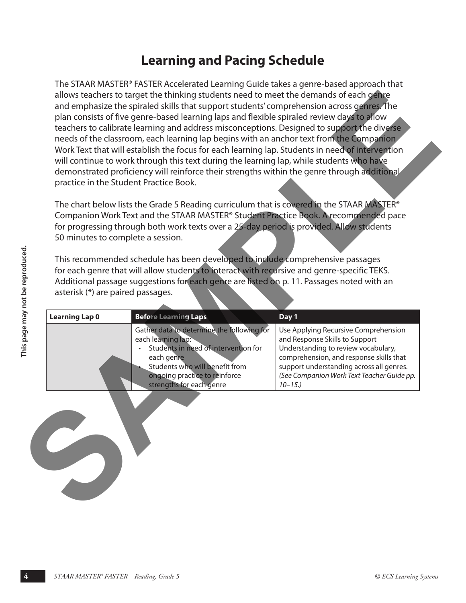### **Learning and Pacing Schedule**

The STAAR MASTER® FASTER Accelerated Learning Guide takes a genre-based approach that allows teachers to target the thinking students need to meet the demands of each genre and emphasize the spiraled skills that support students' comprehension across genres. The plan consists of five genre-based learning laps and flexible spiraled review days to allow teachers to calibrate learning and address misconceptions. Designed to support the diverse needs of the classroom, each learning lap begins with an anchor text from the Companion Work Text that will establish the focus for each learning lap. Students in need of intervention will continue to work through this text during the learning lap, while students who have demonstrated proficiency will reinforce their strengths within the genre through additional practice in the Student Practice Book. allow technics to correct the initiality students incelled to meet the demand of technical students of the permission from the technical students of the permission from the technical students of the correct base increased

The chart below lists the Grade 5 Reading curriculum that is covered in the STAAR MASTER® Companion Work Text and the STAAR MASTER® Student Practice Book. A recommended pace for progressing through both work texts over a 25-day period is provided. Allow students 50 minutes to complete a session.

| <b>Learning Lap 0</b> | <b>Before Learning Laps</b>                                                                                                                                                                                           | Day 1                                                                                                                                                                                                                                                            |
|-----------------------|-----------------------------------------------------------------------------------------------------------------------------------------------------------------------------------------------------------------------|------------------------------------------------------------------------------------------------------------------------------------------------------------------------------------------------------------------------------------------------------------------|
|                       | Gather data to determine the following for<br>each learning lap:<br>Students in need of intervention for<br>each genre<br>Students who will benefit from<br>ongoing practice to reinforce<br>strengths for each genre | Use Applying Recursive Comprehension<br>and Response Skills to Support<br>Understanding to review vocabulary,<br>comprehension, and response skills that<br>support understanding across all genres.<br>(See Companion Work Text Teacher Guide pp.<br>$10 - 15.$ |
|                       |                                                                                                                                                                                                                       |                                                                                                                                                                                                                                                                  |
|                       |                                                                                                                                                                                                                       |                                                                                                                                                                                                                                                                  |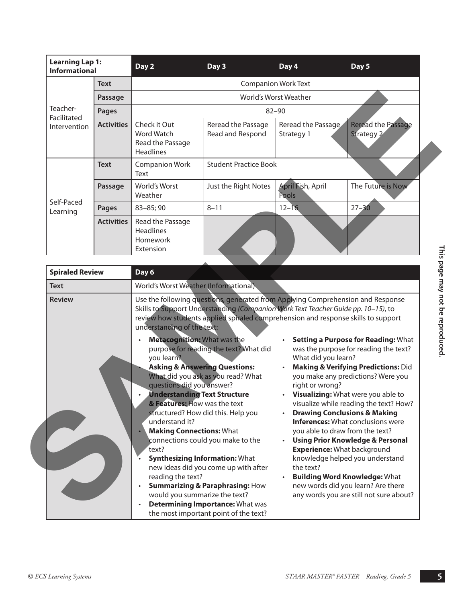| <b>Learning Lap 1:</b><br><b>Informational</b> |                   | Day 2                                                              | Day 3                                  | Day 4                            | Day 5                            |  |  |
|------------------------------------------------|-------------------|--------------------------------------------------------------------|----------------------------------------|----------------------------------|----------------------------------|--|--|
|                                                | Text              |                                                                    | <b>Companion Work Text</b>             |                                  |                                  |  |  |
|                                                | Passage           |                                                                    | World's Worst Weather                  |                                  |                                  |  |  |
| Teacher-<br>Facilitated                        | <b>Pages</b>      |                                                                    |                                        | $82 - 90$                        |                                  |  |  |
| Intervention                                   | <b>Activities</b> | Check it Out<br>Word Watch<br>Read the Passage<br><b>Headlines</b> | Reread the Passage<br>Read and Respond | Reread the Passage<br>Strategy 1 | Reread the Passage<br>Strategy 2 |  |  |
|                                                | <b>Text</b>       | <b>Companion Work</b><br>Text                                      | <b>Student Practice Book</b>           |                                  |                                  |  |  |
|                                                | Passage           | World's Worst<br>Weather                                           | Just the Right Notes                   | April Fish, April<br>Fools       | The Future is Now                |  |  |
| Self-Paced<br>Learning                         | <b>Pages</b>      | $83 - 85;90$                                                       | $8 - 11$                               | $12 - 16$                        | $27 - 30$                        |  |  |
|                                                | <b>Activities</b> | Read the Passage<br><b>Headlines</b><br>Homework<br>Extension      |                                        |                                  |                                  |  |  |

| Teacher-                    | Passage           |                                                                                |                                                                                                                             |                                  |                                                                              |  |  |
|-----------------------------|-------------------|--------------------------------------------------------------------------------|-----------------------------------------------------------------------------------------------------------------------------|----------------------------------|------------------------------------------------------------------------------|--|--|
|                             |                   |                                                                                |                                                                                                                             | World's Worst Weather            |                                                                              |  |  |
| <b>Pages</b><br>Facilitated |                   | $82 - 90$                                                                      |                                                                                                                             |                                  |                                                                              |  |  |
| Intervention                | <b>Activities</b> | Check it Out<br>Word Watch<br>Read the Passage<br><b>Headlines</b>             | Reread the Passage<br>Read and Respond                                                                                      | Reread the Passage<br>Strategy 1 | <b>Reread the Passage</b><br>Strategy 2                                      |  |  |
|                             | <b>Text</b>       | <b>Companion Work</b><br>Text                                                  | <b>Student Practice Book</b>                                                                                                |                                  |                                                                              |  |  |
|                             | Passage           | World's Worst<br>Weather                                                       | Just the Right Notes                                                                                                        | April Fish, April<br>Fools       | The Future is Now                                                            |  |  |
| Self-Paced<br>Learning      | <b>Pages</b>      | 83-85; 90                                                                      | $8 - 11$                                                                                                                    | $12 - 16$                        | $27 - 30$                                                                    |  |  |
|                             | <b>Activities</b> | Read the Passage<br>Headlines<br>Homework<br>Extension                         |                                                                                                                             |                                  |                                                                              |  |  |
| <b>Spiraled Review</b>      |                   | Day 6                                                                          |                                                                                                                             |                                  |                                                                              |  |  |
| <b>Text</b>                 |                   | World's Worst Weather (Informational)                                          |                                                                                                                             |                                  |                                                                              |  |  |
|                             |                   | understanding of the text:<br><b>Metacognition: What was the</b><br>you learn? | review how students applied spiraled comprehension and response skills to support<br>purpose for reading the text? What did | $\bullet$<br>What did you learn? | Setting a Purpose for Reading: What<br>was the purpose for reading the text? |  |  |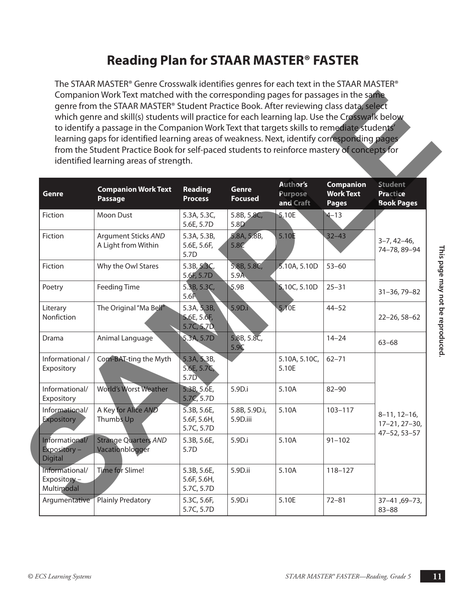# **Reading Plan for STAAR MASTER® FASTER**

The STAAR MASTER® Genre Crosswalk identifies genres for each text in the STAAR MASTER® Companion Work Text matched with the corresponding pages for passages in the same genre from the STAAR MASTER® Student Practice Book. After reviewing class data, select which genre and skill(s) students will practice for each learning lap. Use the Crosswalk below to identify a passage in the Companion Work Text that targets skills to remediate students' learning gaps for identified learning areas of weakness. Next, identify corresponding pages from the Student Practice Book for self-paced students to reinforce mastery of concepts for identified learning areas of strength.

|                                                  | from the Student Practice Book for self-paced students to reinforce mastery of concepts for<br>identified learning areas of strength. |                                          |                                |                                  |                                                      |                                                        |
|--------------------------------------------------|---------------------------------------------------------------------------------------------------------------------------------------|------------------------------------------|--------------------------------|----------------------------------|------------------------------------------------------|--------------------------------------------------------|
| Genre                                            | <b>Companion Work Text</b><br><b>Passage</b>                                                                                          | Reading<br><b>Process</b>                | <b>Genre</b><br><b>Focused</b> | Author's<br>Purpose<br>and Craft | <b>Companion</b><br><b>Work Text</b><br><b>Pages</b> | <b>Student</b><br><b>Practice</b><br><b>Book Pages</b> |
| Fiction                                          | Moon Dust                                                                                                                             | 5.3A, 5.3C,<br>5.6E, 5.7D                | 5.8B, 5.8C,<br>5.8D            | 5.10E                            | $4 - 13$                                             |                                                        |
| Fiction                                          | <b>Argument Sticks AND</b><br>A Light from Within                                                                                     | 5.3A, 5.3B,<br>5.6E, 5.6F,<br>5.7D       | 5.8A, 5.8B,<br>5.8C            | 5.10E                            | $32 - 43$                                            | $3 - 7, 42 - 46,$<br>74-78, 89-94                      |
| Fiction                                          | Why the Owl Stares                                                                                                                    | 5.3B, 5.3C,<br>5.6F, 5.7D                | 5.8B, 5.8C,<br>5.9A            | 5.10A, 5.10D                     | $53 - 60$                                            |                                                        |
| Poetry                                           | <b>Feeding Time</b>                                                                                                                   | 5.3B, 5.3C,<br>5.6 <sub>1</sub>          | 5.9B                           | 5,10C, 5.10D                     | $25 - 31$                                            | $31 - 36, 79 - 82$                                     |
| Literary<br>Nonfiction                           | The Original "Ma Bell"                                                                                                                | 5.3A, 5.3B,<br>5.6E, 5.6F,<br>5.7C, 5.7D | 5.9D.i                         | 5.10E                            | $44 - 52$                                            | $22 - 26, 58 - 62$                                     |
| Drama                                            | Animal Language                                                                                                                       | 5.3A, 5.7D                               | 5.8B, 5.8C,<br>5.9C            |                                  | $14 - 24$                                            | $63 - 68$                                              |
| Informational /<br>Expository                    | Com-BAT-ting the Myth                                                                                                                 | 5.3A, 5.3B,<br>5.6E, 5.7C,<br>5.7D       |                                | 5.10A, 5.10C,<br>5.10E           | $62 - 71$                                            |                                                        |
| Informational/<br>Expository                     | <b>World's Worst Weather</b>                                                                                                          | 5.3B, 5.6E,<br>5.7C, 5.7D                | 5.9D.i                         | 5.10A                            | $82 - 90$                                            |                                                        |
| Informational/<br><b>Expository</b>              | A Key for Alice AND<br><b>Thumbs Up</b>                                                                                               | 5.3B, 5.6E,<br>5.6F, 5.6H,<br>5.7C, 5.7D | 5.8B, 5.9D.i,<br>5.9D.iii      | 5.10A                            | $103 - 117$                                          | $8-11, 12-16,$<br>$17 - 21, 27 - 30,$                  |
| Informational/<br>Expository -<br><b>Digital</b> | <b>Strange Quarters AND</b><br>Vacationblogger                                                                                        | 5.3B, 5.6E,<br>5.7D                      | 5.9D.i                         | 5.10A                            | $91 - 102$                                           | $47 - 52, 53 - 57$                                     |
| Informational/<br>Expository -<br>Multimodal     | Time for Slime!                                                                                                                       | 5.3B, 5.6E,<br>5.6F, 5.6H,<br>5.7C, 5.7D | 5.9D.ii                        | 5.10A                            | 118-127                                              |                                                        |
| Argumentative                                    | Plainly Predatory                                                                                                                     | 5.3C, 5.6F,<br>5.7C, 5.7D                | 5.9D.i                         | 5.10E                            | $72 - 81$                                            | 37-41,69-73,<br>$83 - 88$                              |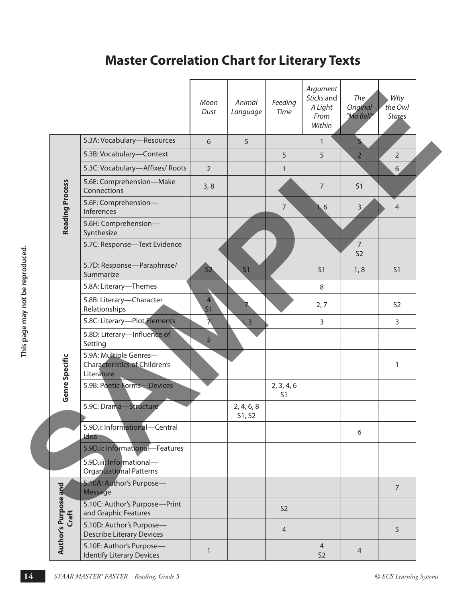# **Master Correlation Chart for Literary Texts**

|                        |                                                                              | Moon<br>Dust                     | Animal<br>Language   | Feeding<br>Time              | Argument<br>Sticks and<br>A Light<br>From<br>Within | The<br>Original<br>"Ma Bell"     | Why<br>the Owl<br><b>Stares</b> |
|------------------------|------------------------------------------------------------------------------|----------------------------------|----------------------|------------------------------|-----------------------------------------------------|----------------------------------|---------------------------------|
|                        | 5.3A: Vocabulary-Resources                                                   | 6                                | 5                    |                              | $\mathbf{1}$                                        | 5                                |                                 |
|                        | 5.3B: Vocabulary-Context                                                     |                                  |                      | 5                            | 5                                                   | $\overline{2}$                   | $\overline{2}$                  |
|                        | 5.3C: Vocabulary-Affixes/Roots                                               | $\overline{2}$                   |                      | $\mathbf{1}$                 |                                                     |                                  | 6 <sub>1</sub>                  |
|                        | 5.6E: Comprehension-Make<br>Connections                                      | 3, 8                             |                      |                              | $\overline{7}$                                      | S <sub>1</sub>                   |                                 |
| <b>Reading Process</b> | 5.6F: Comprehension-<br>Inferences                                           |                                  |                      | $\overline{7}$               | 6                                                   | 3                                | $\overline{4}$                  |
|                        | 5.6H: Comprehension-<br>Synthesize                                           |                                  |                      |                              |                                                     |                                  |                                 |
|                        | 5.7C: Response-Text Evidence                                                 |                                  |                      |                              |                                                     | $\overline{7}$<br>S <sub>2</sub> |                                 |
|                        | 5.7D: Response-Paraphrase/<br>Summarize                                      | S2                               | S <sub>1</sub>       |                              | S <sub>1</sub>                                      | 1, 8                             | S <sub>1</sub>                  |
|                        | 5.8A: Literary-Themes                                                        |                                  |                      |                              | 8                                                   |                                  |                                 |
|                        | 5.8B: Literary-Character<br>Relationships                                    | $\overline{4}$<br>S <sub>1</sub> |                      |                              | 2,7                                                 |                                  | S <sub>2</sub>                  |
|                        | 5.8C: Literary-Plot Elements                                                 | ⊼                                | 1, 3                 |                              | $\overline{3}$                                      |                                  | $\overline{3}$                  |
|                        | 5.8D: Literary-Influence of<br>Setting                                       | 5                                |                      |                              |                                                     |                                  |                                 |
| Genre Specific         | 5.9A: Multiple Genres-<br><b>Characteristics of Children's</b><br>Literature |                                  |                      |                              |                                                     |                                  | 1                               |
|                        | 5.9B: Poetic Forms-Devices                                                   |                                  |                      | 2, 3, 4, 6<br>S <sub>1</sub> |                                                     |                                  |                                 |
|                        | 5.9C: Drama-Structure                                                        |                                  | 2, 4, 6, 8<br>S1, S2 |                              |                                                     |                                  |                                 |
|                        | 5.9D.i: Informational-Central<br>ldea                                        |                                  |                      |                              |                                                     | 6                                |                                 |
|                        | 5.9D.ii: Informational-Features                                              |                                  |                      |                              |                                                     |                                  |                                 |
|                        | 5.9D.iii: Informational-<br>Organizational Patterns                          |                                  |                      |                              |                                                     |                                  |                                 |
|                        | 5.10A: Author's Purpose-<br>Message                                          |                                  |                      |                              |                                                     |                                  | $\overline{7}$                  |
| Craft                  | 5.10C: Author's Purpose-Print<br>and Graphic Features                        |                                  |                      | S <sub>2</sub>               |                                                     |                                  |                                 |
| Author's Purpose and   | 5.10D: Author's Purpose-<br><b>Describe Literary Devices</b>                 |                                  |                      | $\overline{4}$               |                                                     |                                  | 5                               |
|                        | 5.10E: Author's Purpose-<br><b>Identify Literary Devices</b>                 | $\mathbf{1}$                     |                      |                              | $\overline{4}$<br>S <sub>2</sub>                    | 4                                |                                 |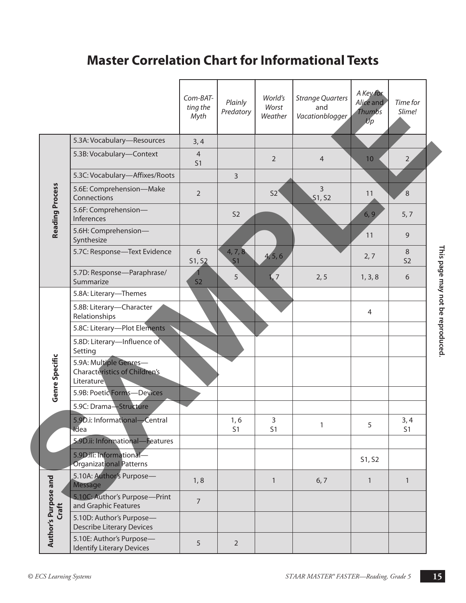# **Master Correlation Chart for Informational Texts**

|                             |                                                                              | Com-BAT-<br>ting the<br>Myth | Plainly<br>Predatory      | World's<br>Worst<br>Weather | <b>Strange Quarters</b><br>and<br>Vacationblogger | A Key for<br>Alice and<br>Thumbs<br>Up | Time for<br>Slime!    |
|-----------------------------|------------------------------------------------------------------------------|------------------------------|---------------------------|-----------------------------|---------------------------------------------------|----------------------------------------|-----------------------|
|                             | 5.3A: Vocabulary-Resources                                                   | 3, 4                         |                           |                             |                                                   |                                        |                       |
|                             | 5.3B: Vocabulary-Context                                                     | $\overline{4}$<br>S1         |                           | $\overline{2}$              | $\overline{4}$                                    | 10                                     | $2 \overline{)}$      |
|                             | 5.3C: Vocabulary-Affixes/Roots                                               |                              | $\overline{3}$            |                             |                                                   |                                        |                       |
|                             | 5.6E: Comprehension-Make<br>Connections                                      | $\overline{2}$               |                           | 52 <sup>°</sup>             | $\overline{3}$<br>\$1, S2                         | 11                                     | $\overline{8}$        |
| <b>Reading Process</b>      | 5.6F: Comprehension-<br>Inferences                                           |                              | S <sub>2</sub>            |                             |                                                   | 6, 9                                   | 5, 7                  |
|                             | 5.6H: Comprehension-<br>Synthesize                                           |                              |                           |                             |                                                   | 11                                     | 9                     |
|                             | 5.7C: Response-Text Evidence                                                 | 6<br>S1, S2                  | 4, 7, 8<br>S <sub>1</sub> | 4, 5, 6                     |                                                   | 2, 7                                   | 8<br>S <sub>2</sub>   |
|                             | 5.7D: Response-Paraphrase/<br>Summarize                                      | S <sub>2</sub>               | 5                         | $\overline{1}$ , 7          | 2, 5                                              | 1, 3, 8                                | 6                     |
|                             | 5.8A: Literary-Themes                                                        |                              |                           |                             |                                                   |                                        |                       |
|                             | 5.8B: Literary-Character<br>Relationships                                    |                              |                           |                             |                                                   | $\overline{4}$                         |                       |
|                             | 5.8C: Literary-Plot Elements                                                 |                              |                           |                             |                                                   |                                        |                       |
|                             | 5.8D: Literary-Influence of<br>Setting                                       |                              |                           |                             |                                                   |                                        |                       |
| Genre Specific              | 5.9A: Multiple Genres-<br><b>Characteristics of Children's</b><br>Literature |                              |                           |                             |                                                   |                                        |                       |
|                             | 5.9B: Poetic Forms-Devices                                                   |                              |                           |                             |                                                   |                                        |                       |
|                             | 5.9C: Drama-Structure                                                        |                              |                           |                             |                                                   |                                        |                       |
|                             | 5.9D.i: Informational-Central<br>Idea                                        |                              | 1, 6<br>S <sub>1</sub>    | $\overline{3}$<br>S1        | $\mathbf{1}$                                      | 5                                      | 3,4<br>S <sub>1</sub> |
|                             | 5.9D.ii: Informational-Features                                              |                              |                           |                             |                                                   |                                        |                       |
|                             | 5.9D.iii: Informational-<br><b>Organizational Patterns</b>                   |                              |                           |                             |                                                   | S1, S2                                 |                       |
|                             | 5.10A: Author's Purpose-<br>Message                                          | 1, 8                         |                           | $\mathbf{1}$                | 6, 7                                              | $\mathbf{1}$                           | $\mathbf{1}$          |
| Craft                       | 5.10C: Author's Purpose-Print<br>and Graphic Features                        | $\overline{7}$               |                           |                             |                                                   |                                        |                       |
| <b>Author's Purpose and</b> | 5.10D: Author's Purpose-<br><b>Describe Literary Devices</b>                 |                              |                           |                             |                                                   |                                        |                       |
|                             | 5.10E: Author's Purpose-<br><b>Identify Literary Devices</b>                 | 5                            | $\overline{2}$            |                             |                                                   |                                        |                       |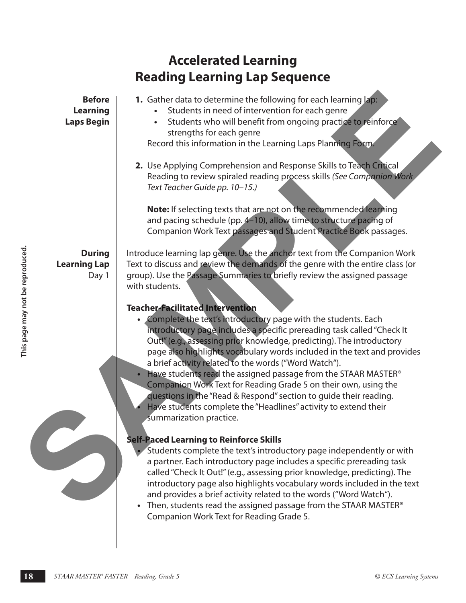|                                                       | <b>Accelerated Learning</b>                                                                                                                                                                                                                                                                                                                                                                                                                                                                                                                        |                                                                                                                                                                                                                                                                                                       |
|-------------------------------------------------------|----------------------------------------------------------------------------------------------------------------------------------------------------------------------------------------------------------------------------------------------------------------------------------------------------------------------------------------------------------------------------------------------------------------------------------------------------------------------------------------------------------------------------------------------------|-------------------------------------------------------------------------------------------------------------------------------------------------------------------------------------------------------------------------------------------------------------------------------------------------------|
|                                                       | <b>Reading Learning Lap Sequence</b>                                                                                                                                                                                                                                                                                                                                                                                                                                                                                                               |                                                                                                                                                                                                                                                                                                       |
| <b>Before</b><br><b>Learning</b><br><b>Laps Begin</b> | 1. Gather data to determine the following for each learning lap:<br>Students in need of intervention for each genre<br>$\bullet$<br>strengths for each genre<br>Record this information in the Learning Laps Planning Form.                                                                                                                                                                                                                                                                                                                        | Students who will benefit from ongoing practice to reinforce                                                                                                                                                                                                                                          |
|                                                       | 2. Use Applying Comprehension and Response Skills to Teach Critical<br>Text Teacher Guide pp. 10-15.)<br>Note: If selecting texts that are not on the recommended learning<br>and pacing schedule (pp. 4-10), allow time to structure pacing of                                                                                                                                                                                                                                                                                                    | Reading to review spiraled reading process skills (See Companion Work<br>Companion Work Text passages and Student Practice Book passages.                                                                                                                                                             |
| <b>During</b><br><b>Learning Lap</b><br>Day 1         | Introduce learning lap genre. Use the anchor text from the Companion Work<br>Text to discuss and review the demands of the genre with the entire class (or<br>group). Use the Passage Summaries to briefly review the assigned passage<br>with students.                                                                                                                                                                                                                                                                                           |                                                                                                                                                                                                                                                                                                       |
| This page may not be reproduced                       | <b>Teacher-Facilitated Intervention</b><br>Complete the text's introductory page with the students. Each<br>Out!" (e.g., assessing prior knowledge, predicting). The introductory<br>a brief activity related to the words ("Word Watch").<br>Have students read the assigned passage from the STAAR MASTER®<br>Companion Work Text for Reading Grade 5 on their own, using the<br>questions in the "Read & Respond" section to guide their reading.<br>Have students complete the "Headlines" activity to extend their<br>summarization practice. | introductory page includes a specific prereading task called "Check It<br>page also highlights vocabulary words included in the text and provides                                                                                                                                                     |
|                                                       | <b>Self-Paced Learning to Reinforce Skills</b><br>and provides a brief activity related to the words ("Word Watch").<br>• Then, students read the assigned passage from the STAAR MASTER <sup>®</sup><br>Companion Work Text for Reading Grade 5.                                                                                                                                                                                                                                                                                                  | Students complete the text's introductory page independently or with<br>a partner. Each introductory page includes a specific prereading task<br>called "Check It Out!" (e.g., assessing prior knowledge, predicting). The<br>introductory page also highlights vocabulary words included in the text |
| 18                                                    | STAAR MASTER® FASTER-Reading, Grade 5                                                                                                                                                                                                                                                                                                                                                                                                                                                                                                              | © ECS Learning Systems                                                                                                                                                                                                                                                                                |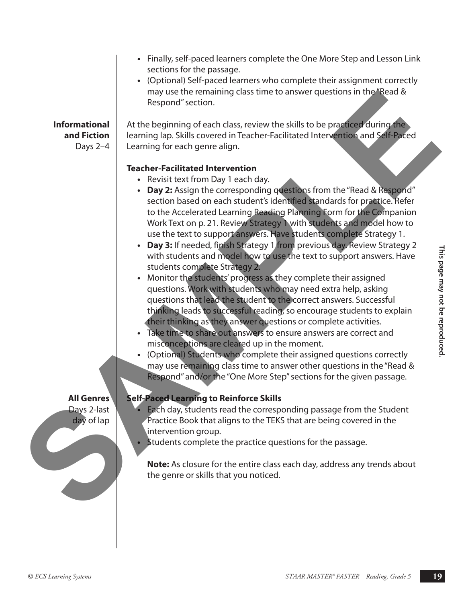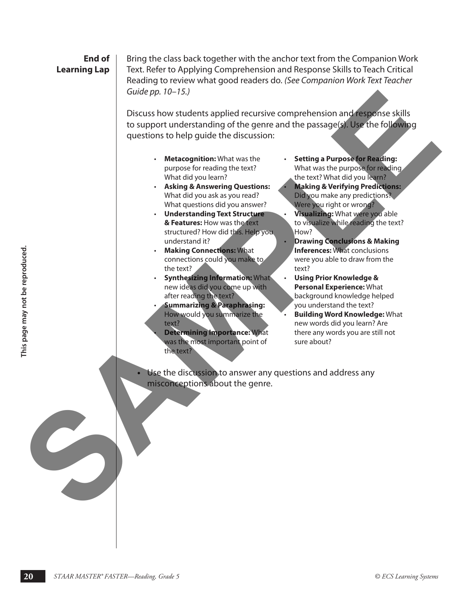#### **End of Learning Lap**

Bring the class back together with the anchor text from the Companion Work Text. Refer to Applying Comprehension and Response Skills to Teach Critical Reading to review what good readers do. *(See Companion Work Text Teacher Guide pp. 10–15.)*

Discuss how students applied recursive comprehension and response skills to support understanding of the genre and the passage(s). Use the following questions to help guide the discussion: Cuide pp. 10-15.)<br>
Discuss how students applied recursive comprehension and conducts skills<br>
to support understanding of the genere and the passage of the reflect of skills<br>
questions to help guide the discussion:<br>
.......

- **Metacognition:** What was the purpose for reading the text? What did you learn?
- **Asking & Answering Questions:** What did you ask as you read? What questions did you answer?
- **Understanding Text Structure & Features:** How was the text structured? How did this. Help you understand it?
- **Making Connections:** What connections could you make to the text?
- **Synthesizing Information:** What new ideas did you come up with after reading the text?
- **Summarizing & Paraphrasing:** How would you summarize the text?
- **Determining Importance:** What was the most important point of the text?
- **Setting a Purpose for Reading:** What was the purpose for reading the text? What did you learn? • **Making & Verifying Predictions:** Did you make any predictions? Were you right or wrong? • **Visualizing:** What were you able
	- to visualize while reading the text? How? • **Drawing Conclusions & Making**
- **Inferences:** What conclusions were you able to draw from the text?
- **Using Prior Knowledge & Personal Experience:** What background knowledge helped you understand the text?
- **Building Word Knowledge:** What new words did you learn? Are there any words you are still not sure about?
- **20**<br> **20** <br> **20** *START MATER CONTEXTRATE CONTEXTRATE CONTEXTRATE CONTEXTRATE CONTEXTRATE CONTEXTRATE CONTEXTRATE CONTEXTRATE CONTEXTRATE CONTEXTRATE CONTEXTRATE CONTEXTRATE CONTEXTRATE CONTEXTRATE CONTEXTRATE CONTEXTRATE* **•** Use the discussion to answer any questions and address any misconceptions about the genre.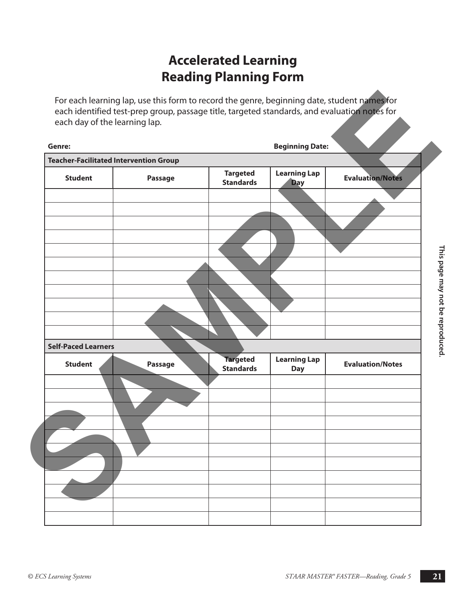# **Accelerated Learning Reading Planning Form**

| Genre:                                        |         |                                     | <b>Beginning Date:</b>            |                         |
|-----------------------------------------------|---------|-------------------------------------|-----------------------------------|-------------------------|
| <b>Teacher-Facilitated Intervention Group</b> |         |                                     |                                   |                         |
| <b>Student</b>                                | Passage | <b>Targeted</b><br><b>Standards</b> | <b>Learning Lap</b><br><b>Day</b> | <b>Evaluation/Notes</b> |
|                                               |         |                                     |                                   |                         |
|                                               |         |                                     |                                   |                         |
|                                               |         |                                     |                                   |                         |
|                                               |         |                                     |                                   |                         |
|                                               |         |                                     |                                   |                         |
|                                               |         |                                     |                                   |                         |
| <b>Self-Paced Learners</b>                    |         |                                     |                                   |                         |
| <b>Student</b>                                | Passage | <b>Targeted</b><br><b>Standards</b> | <b>Learning Lap</b><br><b>Day</b> | <b>Evaluation/Notes</b> |
|                                               |         |                                     |                                   |                         |
|                                               |         |                                     |                                   |                         |
|                                               |         |                                     |                                   |                         |
|                                               |         |                                     |                                   |                         |
|                                               |         |                                     |                                   |                         |
|                                               |         |                                     |                                   |                         |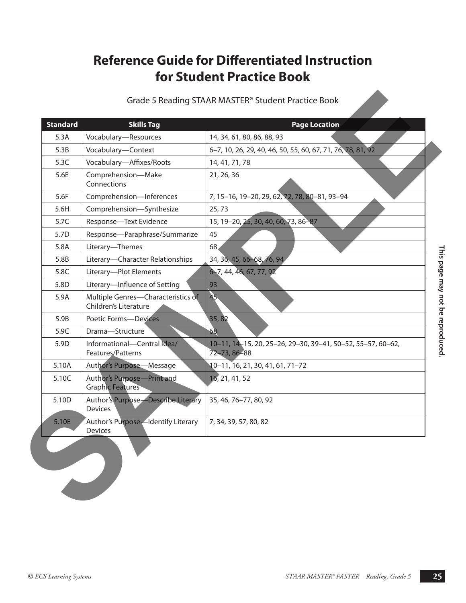#### **Reference Guide for Differentiated Instruction For Student Practice Book** students is needed to concentrate on the table to find the page numbers on which the page numbers on which the page numbers on which the page of the page of the page of the page of the page numbers on which the page of the **Grade 5 Reading STAAR MASTER® Student Practice Book**

| <b>Skills Tag</b><br>5.3A<br>Vocabulary-Resources<br>14, 34, 61, 80, 86, 88, 93<br>Vocabulary-Context<br>5.3B<br>Vocabulary-Affixes/Roots<br>5.3C<br>14, 41, 71, 78<br>Comprehension-Make<br>5.6E<br>21, 26, 36<br>Connections<br>Comprehension-Inferences<br>5.6F<br>Comprehension-Synthesize<br>5.6H<br>25,73<br>Response-Text Evidence<br>15, 19-20, 25, 30, 40, 60, 73, 86-87<br>5.7C<br>Response-Paraphrase/Summarize<br>45<br>5.7D<br>Literary-Themes<br>68<br>5.8A<br>Literary-Character Relationships<br>34, 36, 45, 66-68, 76, 94,<br>5.8B | 6-7, 10, 26, 29, 40, 46, 50, 55, 60, 67, 71, 76, 78, 81, 92<br>7, 15-16, 19-20, 29, 62, 72, 78, 80-81, 93-94 |
|-----------------------------------------------------------------------------------------------------------------------------------------------------------------------------------------------------------------------------------------------------------------------------------------------------------------------------------------------------------------------------------------------------------------------------------------------------------------------------------------------------------------------------------------------------|--------------------------------------------------------------------------------------------------------------|
|                                                                                                                                                                                                                                                                                                                                                                                                                                                                                                                                                     |                                                                                                              |
|                                                                                                                                                                                                                                                                                                                                                                                                                                                                                                                                                     |                                                                                                              |
|                                                                                                                                                                                                                                                                                                                                                                                                                                                                                                                                                     |                                                                                                              |
|                                                                                                                                                                                                                                                                                                                                                                                                                                                                                                                                                     |                                                                                                              |
|                                                                                                                                                                                                                                                                                                                                                                                                                                                                                                                                                     |                                                                                                              |
|                                                                                                                                                                                                                                                                                                                                                                                                                                                                                                                                                     |                                                                                                              |
|                                                                                                                                                                                                                                                                                                                                                                                                                                                                                                                                                     |                                                                                                              |
|                                                                                                                                                                                                                                                                                                                                                                                                                                                                                                                                                     |                                                                                                              |
|                                                                                                                                                                                                                                                                                                                                                                                                                                                                                                                                                     |                                                                                                              |
|                                                                                                                                                                                                                                                                                                                                                                                                                                                                                                                                                     |                                                                                                              |
| Literary-Plot Elements<br>6-7, 44, 46, 67, 77, 92<br>5.8C                                                                                                                                                                                                                                                                                                                                                                                                                                                                                           |                                                                                                              |
| Literary-Influence of Setting<br>5.8D<br>93                                                                                                                                                                                                                                                                                                                                                                                                                                                                                                         |                                                                                                              |
| 45<br>Multiple Genres-Characteristics of<br>5.9A<br>Children's Literature                                                                                                                                                                                                                                                                                                                                                                                                                                                                           |                                                                                                              |
| 35,82<br>5.9B<br><b>Poetic Forms-Devices</b>                                                                                                                                                                                                                                                                                                                                                                                                                                                                                                        |                                                                                                              |
| 68<br>5.9C<br>Drama-Structure                                                                                                                                                                                                                                                                                                                                                                                                                                                                                                                       |                                                                                                              |
| Informational-Central Idea/<br>5.9D<br>72-73, 86-88<br>Features/Patterns                                                                                                                                                                                                                                                                                                                                                                                                                                                                            | 10-11, 14-15, 20, 25-26, 29-30, 39-41, 50-52, 55-57, 60-62,                                                  |
| 5.10A<br>Author's Purpose-Message<br>10-11, 16, 21, 30, 41, 61, 71-72                                                                                                                                                                                                                                                                                                                                                                                                                                                                               |                                                                                                              |
| Author's Purpose-Print and<br>16, 21, 41, 52<br>5.10C<br><b>Graphic Features</b>                                                                                                                                                                                                                                                                                                                                                                                                                                                                    |                                                                                                              |
| Author's Purpose-Describe Literary<br>5.10D<br>35, 46, 76-77, 80, 92<br>Devices                                                                                                                                                                                                                                                                                                                                                                                                                                                                     |                                                                                                              |
| Author's Purpose-Identify Literary<br>5.10E<br>7, 34, 39, 57, 80, 82<br>Devices                                                                                                                                                                                                                                                                                                                                                                                                                                                                     |                                                                                                              |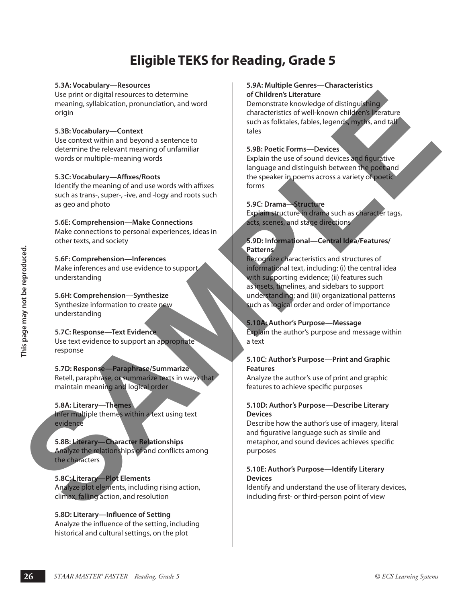# **Eligible TEKS for Reading, Grade 5**

#### **5.3A: Vocabulary—Resources**

Use print or digital resources to determine meaning, syllabication, pronunciation, and word origin

#### **5.3B: Vocabulary—Context**

Use context within and beyond a sentence to determine the relevant meaning of unfamiliar words or multiple-meaning words

#### **5.3C: Vocabulary—Affixes/Roots**

Identify the meaning of and use words with affixes such as trans-, super-, -ive, and -logy and roots such as geo and photo

#### **5.6E: Comprehension—Make Connections** Make connections to personal experiences, ideas in other texts, and society

#### **5.6F: Comprehension—Inferences**

Make inferences and use evidence to support understanding

#### **5.6H: Comprehension—Synthesize** Synthesize information to create new

understanding

#### **5.7C: Response—Text Evidence** Use text evidence to support an appropriate response

#### **5.7D: Response—Paraphrase/Summarize** Retell, paraphrase, or summarize texts in ways that maintain meaning and logical order

#### **5.8A: Literary—Themes**

Infer multiple themes within a text using text evidence

#### **5.8B: Literary—Character Relationships** Analyze the relationships of and conflicts among the characters

#### **5.8C: Literary—Plot Elements** Analyze plot elements, including rising action, climax, falling action, and resolution

#### **5.8D: Literary—Influence of Setting**

Analyze the influence of the setting, including historical and cultural settings, on the plot

#### **5.9A: Multiple Genres—Characteristics of Children's Literature**

Demonstrate knowledge of distinguishing characteristics of well-known children's literature such as folktales, fables, legends, myths, and tall tales

#### **5.9B: Poetic Forms—Devices**

Explain the use of sound devices and figurative language and distinguish between the poet and the speaker in poems across a variety of poetic forms

#### **5.9C: Drama—Structure**

Explain structure in drama such as character tags, acts, scenes, and stage directions

#### **5.9D: Informational—Central Idea/Features/ Patterns**

**26**<br> **26 ECN AREN** EXERCISE CONSIDERATION CONTROLL AND CONSIDERATION CONSIDERATION CONSIDERATION CONSIDERATION CONSIDERATION CONSIDERATION CONSIDERATION CONSIDERATION CONSIDERATION CONSIDERATION CONSIDERATION CONSIDERAT Recognize characteristics and structures of informational text, including: (i) the central idea with supporting evidence; (ii) features such as insets, timelines, and sidebars to support understanding; and (iii) organizational patterns such as logical order and order of importance Use printo and are otherwise to determine the electronic state and the contract is the contract of the contract of the contract of the contract of the contract of the contract of the contract of the contract of the contrac

#### **5.10A: Author's Purpose—Message**

Explain the author's purpose and message within a text

#### **5.10C: Author's Purpose—Print and Graphic Features**

Analyze the author's use of print and graphic features to achieve specific purposes

#### **5.10D: Author's Purpose—Describe Literary Devices**

Describe how the author's use of imagery, literal and figurative language such as simile and metaphor, and sound devices achieves specific purposes

#### **5.10E: Author's Purpose—Identify Literary Devices**

Identify and understand the use of literary devices, including first- or third-person point of view